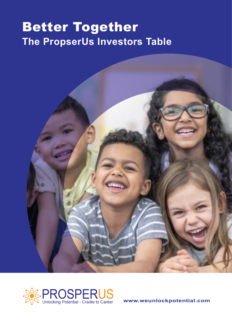### Better Together **The PropserUs Investors Table**





**www.weunlockpotential.com**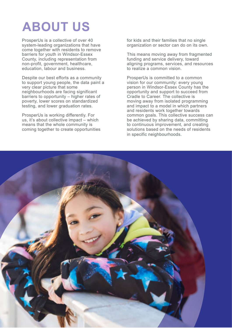# **ABOUT US**

ProsperUs is a collective of over 40 system-leading organizations that have come together with residents to remove barriers for youth in Windsor-Essex County, including representation from non-profit, government, healthcare, education, labour and business.

Despite our best efforts as a community to support young people, the data paint a very clear picture that some neighbourhoods are facing significant barriers to opportunity – higher rates of poverty, lower scores on standardized testing, and lower graduation rates.

ProsperUs is working differently. For us, it's about collective impact – which means that the whole community is coming together to create opportunities for kids and their families that no single organization or sector can do on its own.

This means moving away from fragmented funding and service delivery, toward aligning programs, services, and resources to realize a common vision.

ProsperUs is committed to a common vision for our community: every young person in Windsor-Essex County has the opportunity and support to succeed from Cradle to Career. The collective is moving away from isolated programming and impact to a model in which partners and residents work together towards common goals. This collective success can be achieved by sharing data, committing to continuous improvement, and creating solutions based on the needs of residents in specific neighbourhoods.

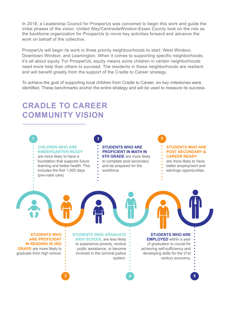In 2018, a Leadership Council for ProsperUs was convened to begin this work and guide the initial phases of the vision. United Way/CentraideWindsor-Essex County took on the role as the backbone organization for ProsperUs to move key activities forward and advance the work on behalf of the collective.

ProsperUs will begin its work in three priority neighbourhoods to start: West Windsor, Downtown Windsor, and Leamington. When it comes to supporting specific neighborhoods, it's all about equity. For ProsperUs, equity means some children in certain neighborhoods need more help than others to succeed. The residents in these neighborhoods are resilient and will benefit greatly from the support of the Cradle to Career strategy.

To achieve the goal of supporting local children from Cradle to Career, six key milestones were identified. These benchmarks anchor the entire strategy and will be used to measure its success.

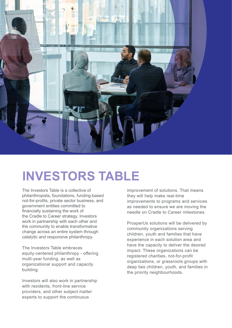

## **INVESTORS TABLE**

The Investors Table is a collective of philanthropists, foundations, funding-based not-for-profits, private sector business, and government entities committed to financially sustaining the work of the Cradle to Career strategy. Investors work in partnership with each other and the community to enable transformative change across an entire system through catalytic and responsive philanthropy.

The Investors Table embraces equity-centered philanthropy - offering multi-year funding, as well as organizational support and capacity building.

Investors will also work in partnership with residents, front-line service providers, and other subject matter experts to support the continuous

improvement of solutions. That means they will help make real-time improvements to programs and services as needed to ensure we are moving the needle on Cradle to Career milestones.

ProsperUs solutions will be delivered by community organizations serving children, youth and families that have experience in each solution area and have the capacity to deliver the desired impact. These organizations can be registered charities, not-for-profit organizations, or grassroots groups with deep ties children, youth, and families in the priority neighbourhoods.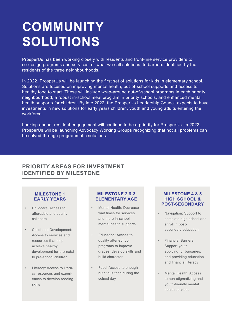# **COMMUNITY SOLUTIONS**

ProsperUs has been working closely with residents and front-line service providers to co-design programs and services, or what we call solutions, to barriers identified by the residents of the three neighbourhoods.

In 2022, ProsperUs will be launching the first set of solutions for kids in elementary school. Solutions are focused on improving mental health, out-of-school supports and access to healthy food to start. These will include wrap-around out-of-school programs in each priority neighbourhood, a robust in-school meal program in priority schools, and enhanced mental health supports for children. By late 2022, the ProsperUs Leadership Council expects to have investments in new solutions for early years children, youth and young adults entering the workforce.

Looking ahead, resident engagement will continue to be a priority for ProsperUs. In 2022, ProsperUs will be launching Advocacy Working Groups recognizing that not all problems can be solved through programmatic solutions.

### **PRIORITY AREAS FOR INVESTMENT IDENTIFIED BY MILESTONE**

#### **MILESTONE 1 EARLY YEARS**

- Childcare: Access to affordable and quality childcare
- Childhood Development: Access to services and resources that help achieve healthy development for pre-natal to pre-school children
- Literacy: Access to literacy resources and experiences to develop reading skills

#### **MILESTONE 2 & 3 ELEMENTARY AGE**

- Mental Health: Decrease wait times for services and more in-school mental health supports
- Education: Access to quality after-school programs to improve grades, develop skills and build character
- Food: Access to enough nutritious food during the school day

#### **MILESTONE 4 & 5 HIGH SCHOOL & POST-SECONDARY**

- Navigation: Support to complete high school and enroll in postsecondary education
- Financial Barriers: Support youth applying for bursaries, and providing education and financial literacy
- Mental Health: Access to non-stigmatizing and youth-friendly mental health services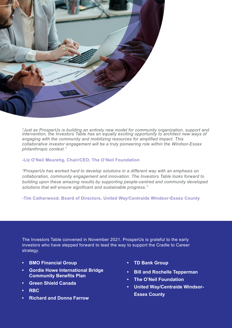

*"Just as ProsperUs is building an entirely new model for community organization, support and intervention, the Investors Table has an equally exciting opportunity to architect new ways of engaging with the community and mobilizing resources for amplified impact. This collaborative investor engagement will be a truly pioneering role within the Windsor-Essex philanthropic context."*

#### **-Liz O'Neil Meurehg, Chair/CEO, The O'Neil Foundation**

*"ProsperUs has worked hard to develop solutions in a different way with an emphasis on collaboration, community engagement and innovation. The Investors Table looks forward to building upon these amazing results by supporting people-centred and community developed solutions that will ensure significant and sustainable progress."*

**-Tim Catherwood, Board of Directors, United Way/Centraide Windsor-Essex County**

The Investors Table convened in November 2021. ProsperUs is grateful to the early investors who have stepped forward to lead the way to support the Cradle to Career strategy.

- **• BMO Financial Group**
- **• Gordie Howe International Bridge Community Benefits Plan**
- **Green Shield Canada**
- **• RBC**
- **Richard and Donna Farrow**
- **• TD Bank Group**
- **Bill and Rochelle Tepperman**
- **The O'Neil Foundation**
- **United Way/Centraide Windsor-Essex County**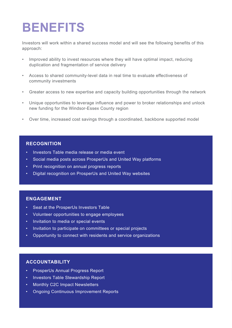## **BENEFITS**

Investors will work within a shared success model and will see the following benefits of this approach:

- Improved ability to invest resources where they will have optimal impact, reducing duplication and fragmentation of service delivery
- Access to shared community-level data in real time to evaluate effectiveness of community investments
- Greater access to new expertise and capacity building opportunities through the network
- Unique opportunities to leverage influence and power to broker relationships and unlock new funding for the Windsor-Essex County region
- Over time, increased cost savings through a coordinated, backbone supported model

#### **RECOGNITION**

- Investors Table media release or media event
- Social media posts across ProsperUs and United Way platforms
- Print recognition on annual progress reports
- Digital recognition on ProsperUs and United Way websites

#### **ENGAGEMENT**

- Seat at the ProsperUs Investors Table
- Volunteer opportunities to engage employees
- Invitation to media or special events
- Invitation to participate on committees or special projects
- Opportunity to connect with residents and service organizations

### **ACCOUNTABILITY**

- ProsperUs Annual Progress Report
- Investors Table Stewardship Report
- Monthly C2C Impact Newsletters
- Ongoing Continuous Improvement Reports